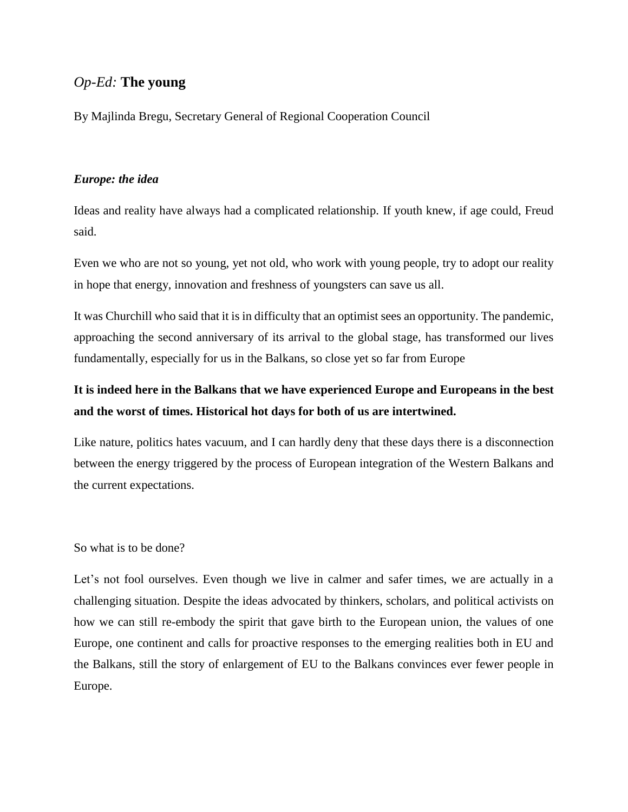## *Op-Ed:* **The young**

By Majlinda Bregu, Secretary General of Regional Cooperation Council

### *Europe: the idea*

Ideas and reality have always had a complicated relationship. If youth knew, if age could, Freud said.

Even we who are not so young, yet not old, who work with young people, try to adopt our reality in hope that energy, innovation and freshness of youngsters can save us all.

It was Churchill who said that it is in difficulty that an optimist sees an opportunity. The pandemic, approaching the second anniversary of its arrival to the global stage, has transformed our lives fundamentally, especially for us in the Balkans, so close yet so far from Europe

# **It is indeed here in the Balkans that we have experienced Europe and Europeans in the best and the worst of times. Historical hot days for both of us are intertwined.**

Like nature, politics hates vacuum, and I can hardly deny that these days there is a disconnection between the energy triggered by the process of European integration of the Western Balkans and the current expectations.

So what is to be done?

Let's not fool ourselves. Even though we live in calmer and safer times, we are actually in a challenging situation. Despite the ideas advocated by thinkers, scholars, and political activists on how we can still re-embody the spirit that gave birth to the European union, the values of one Europe, one continent and calls for proactive responses to the emerging realities both in EU and the Balkans, still the story of enlargement of EU to the Balkans convinces ever fewer people in Europe.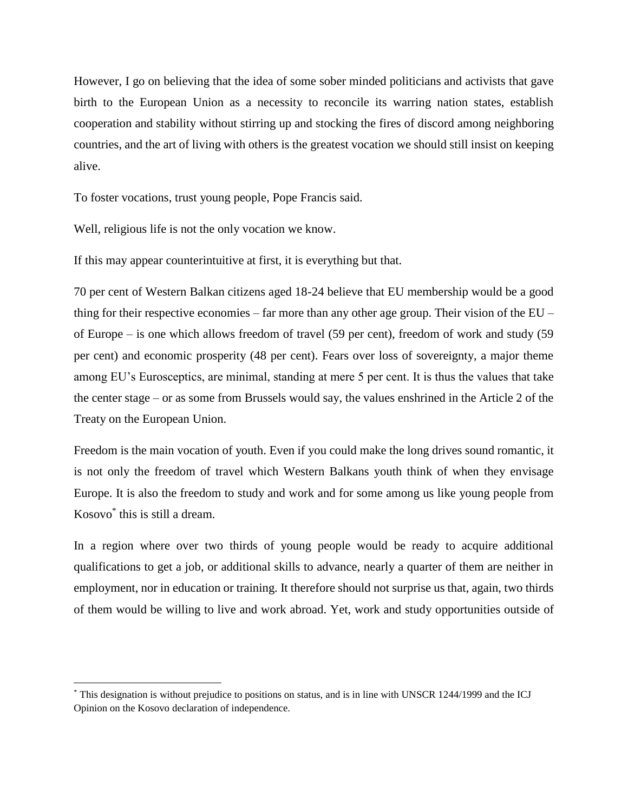However, I go on believing that the idea of some sober minded politicians and activists that gave birth to the European Union as a necessity to reconcile its warring nation states, establish cooperation and stability without stirring up and stocking the fires of discord among neighboring countries, and the art of living with others is the greatest vocation we should still insist on keeping alive.

To foster vocations, trust young people, Pope Francis said.

Well, religious life is not the only vocation we know.

 $\overline{a}$ 

If this may appear counterintuitive at first, it is everything but that.

70 per cent of Western Balkan citizens aged 18-24 believe that EU membership would be a good thing for their respective economies – far more than any other age group. Their vision of the EU – of Europe – is one which allows freedom of travel (59 per cent), freedom of work and study (59 per cent) and economic prosperity (48 per cent). Fears over loss of sovereignty, a major theme among EU's Eurosceptics, are minimal, standing at mere 5 per cent. It is thus the values that take the center stage – or as some from Brussels would say, the values enshrined in the Article 2 of the Treaty on the European Union.

Freedom is the main vocation of youth. Even if you could make the long drives sound romantic, it is not only the freedom of travel which Western Balkans youth think of when they envisage Europe. It is also the freedom to study and work and for some among us like young people from Kosovo\* this is still a dream.

In a region where over two thirds of young people would be ready to acquire additional qualifications to get a job, or additional skills to advance, nearly a quarter of them are neither in employment, nor in education or training. It therefore should not surprise us that, again, two thirds of them would be willing to live and work abroad. Yet, work and study opportunities outside of

<sup>\*</sup> This designation is without prejudice to positions on status, and is in line with UNSCR 1244/1999 and the ICJ Opinion on the Kosovo declaration of independence.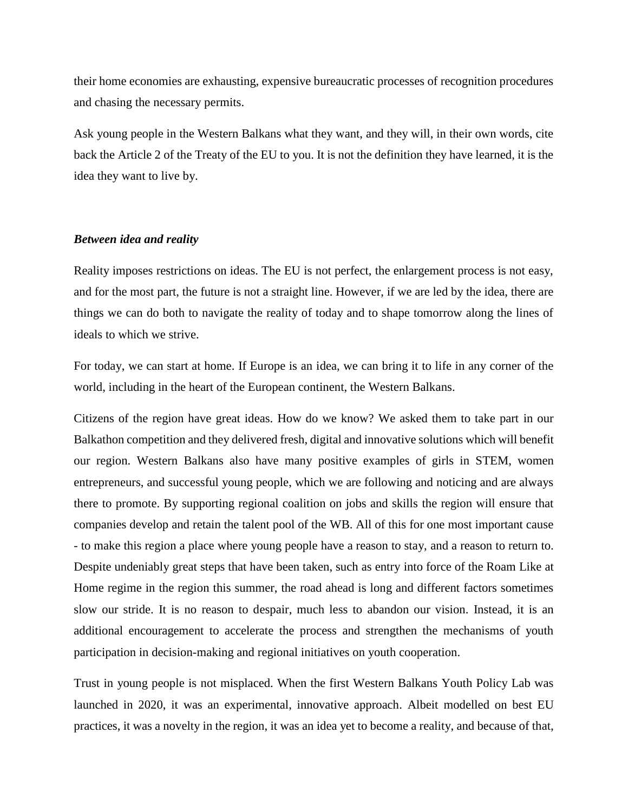their home economies are exhausting, expensive bureaucratic processes of recognition procedures and chasing the necessary permits.

Ask young people in the Western Balkans what they want, and they will, in their own words, cite back the Article 2 of the Treaty of the EU to you. It is not the definition they have learned, it is the idea they want to live by.

### *Between idea and reality*

Reality imposes restrictions on ideas. The EU is not perfect, the enlargement process is not easy, and for the most part, the future is not a straight line. However, if we are led by the idea, there are things we can do both to navigate the reality of today and to shape tomorrow along the lines of ideals to which we strive.

For today, we can start at home. If Europe is an idea, we can bring it to life in any corner of the world, including in the heart of the European continent, the Western Balkans.

Citizens of the region have great ideas. How do we know? We asked them to take part in our Balkathon competition and they delivered fresh, digital and innovative solutions which will benefit our region. Western Balkans also have many positive examples of girls in STEM, women entrepreneurs, and successful young people, which we are following and noticing and are always there to promote. By supporting regional coalition on jobs and skills the region will ensure that companies develop and retain the talent pool of the WB. All of this for one most important cause - to make this region a place where young people have a reason to stay, and a reason to return to. Despite undeniably great steps that have been taken, such as entry into force of the Roam Like at Home regime in the region this summer, the road ahead is long and different factors sometimes slow our stride. It is no reason to despair, much less to abandon our vision. Instead, it is an additional encouragement to accelerate the process and strengthen the mechanisms of youth participation in decision-making and regional initiatives on youth cooperation.

Trust in young people is not misplaced. When the first Western Balkans Youth Policy Lab was launched in 2020, it was an experimental, innovative approach. Albeit modelled on best EU practices, it was a novelty in the region, it was an idea yet to become a reality, and because of that,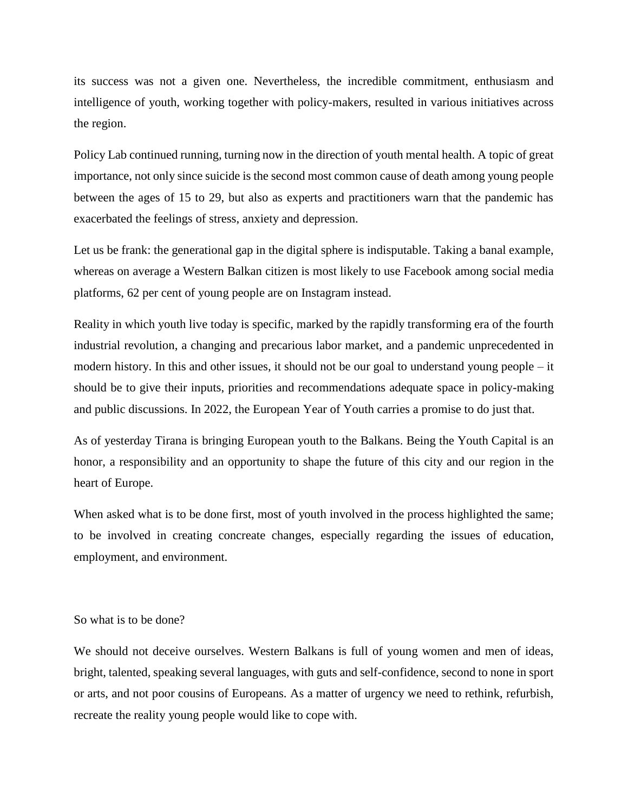its success was not a given one. Nevertheless, the incredible commitment, enthusiasm and intelligence of youth, working together with policy-makers, resulted in various initiatives across the region.

Policy Lab continued running, turning now in the direction of youth mental health. A topic of great importance, not only since suicide is the second most common cause of death among young people between the ages of 15 to 29, but also as experts and practitioners warn that the pandemic has exacerbated the feelings of stress, anxiety and depression.

Let us be frank: the generational gap in the digital sphere is indisputable. Taking a banal example, whereas on average a Western Balkan citizen is most likely to use Facebook among social media platforms, 62 per cent of young people are on Instagram instead.

Reality in which youth live today is specific, marked by the rapidly transforming era of the fourth industrial revolution, a changing and precarious labor market, and a pandemic unprecedented in modern history. In this and other issues, it should not be our goal to understand young people – it should be to give their inputs, priorities and recommendations adequate space in policy-making and public discussions. In 2022, the European Year of Youth carries a promise to do just that.

As of yesterday Tirana is bringing European youth to the Balkans. Being the Youth Capital is an honor, a responsibility and an opportunity to shape the future of this city and our region in the heart of Europe.

When asked what is to be done first, most of youth involved in the process highlighted the same; to be involved in creating concreate changes, especially regarding the issues of education, employment, and environment.

#### So what is to be done?

We should not deceive ourselves. Western Balkans is full of young women and men of ideas, bright, talented, speaking several languages, with guts and self-confidence, second to none in sport or arts, and not poor cousins of Europeans. As a matter of urgency we need to rethink, refurbish, recreate the reality young people would like to cope with.